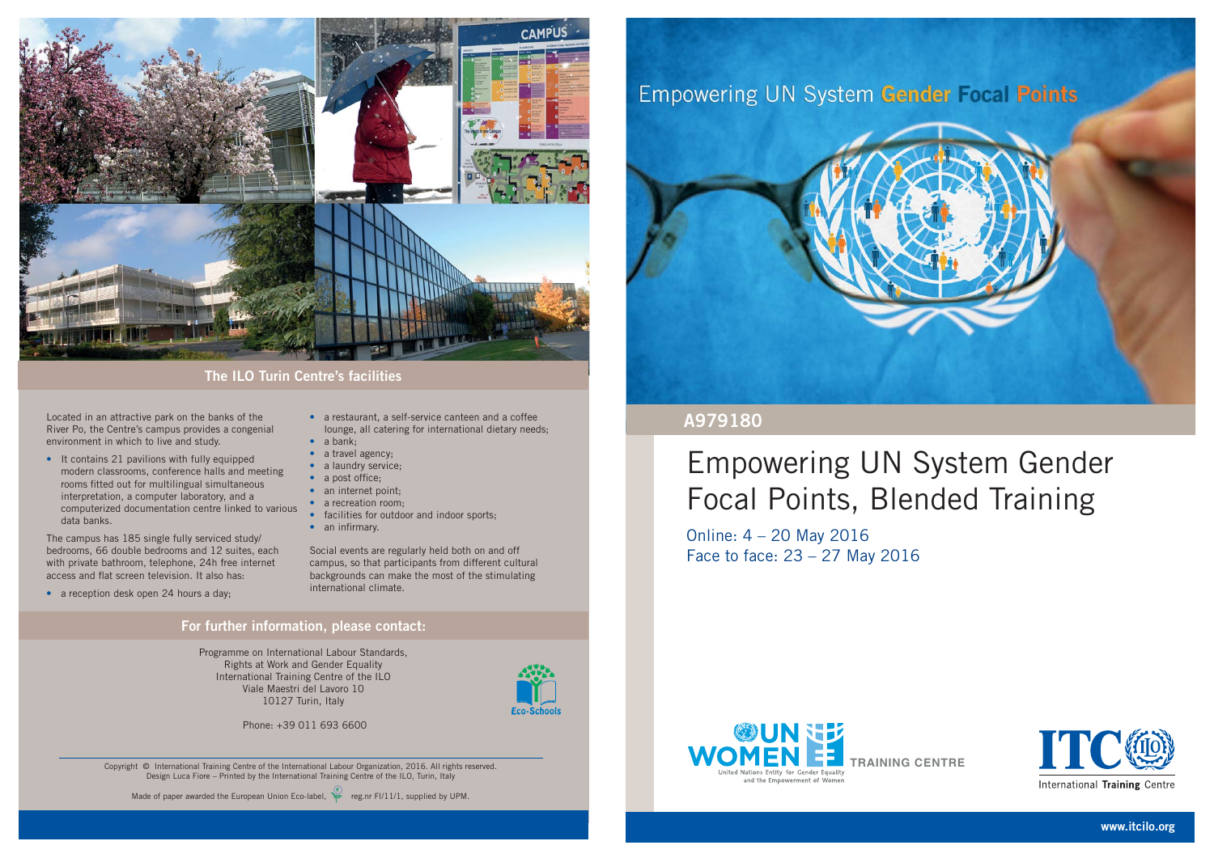Located in an attractive park on the banks of the River Po, the Centre's campus provides a congenial environment in which to live and study.

The campus has 185 single fully serviced study/ bedrooms, 66 double bedrooms and 12 suites, each with private bathroom, telephone, 24h free internet access and flat screen television. It also has:

• a reception desk open 24 hours a day;

- a restaurant, a self-service canteen and a coffee lounge, all catering for international dietary needs;
- a bank;
- a travel agency;
- a laundry service;
- $\bullet$  a post office;
- an internet point;
- a recreation room;
- facilities for outdoor and indoor sports;
- $\bullet$  an infirmary.

• It contains 21 pavilions with fully equipped modern classrooms, conference halls and meeting rooms fitted out for multilingual simultaneous interpretation, a computer laboratory, and a computerized documentation centre linked to various data banks.

> Social events are regularly held both on and off campus, so that participants from different cultural backgrounds can make the most of the stimulating international climate.

#### **For further information, please contact:**



#### **The ILO Turin Centre's facilities**

Programme on International Labour Standards, Rights at Work and Gender Equality International Training Centre of the ILO Viale Maestri del Lavoro 1010127 Turin, Italy



Phone: +39 011 693 6600

Copyright © International Training Centre of the International Labour Organization, 2016. All rights reserved. Design Luca Fiore – Printed by the International Training Centre of the ILO, Turin, Italy





# Empowering UN System Gender Focal Points, Blended Training

Online: 4 – 20 May 2016 Face to face: 23 – 27 May 2016

#### **A979180**

**www.itcilo.org**





International Training Centre